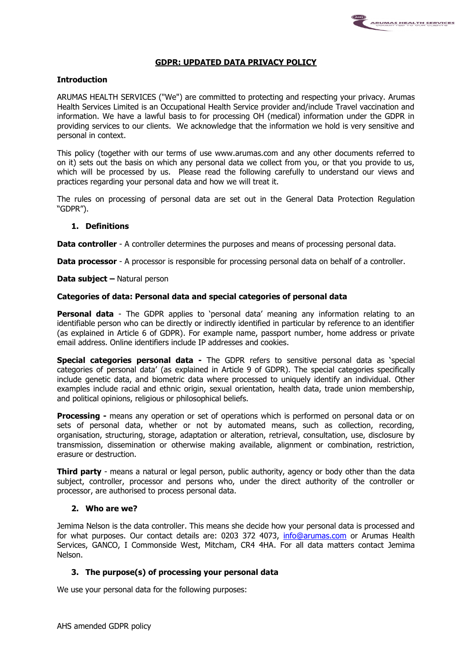# **GDPR: UPDATED DATA PRIVACY POLICY**

## **Introduction**

ARUMAS HEALTH SERVICES ("We") are committed to protecting and respecting your privacy. Arumas Health Services Limited is an Occupational Health Service provider and/include Travel vaccination and information. We have a lawful basis to for processing OH (medical) information under the GDPR in providing services to our clients. We acknowledge that the information we hold is very sensitive and personal in context.

This policy (together with our terms of use www.arumas.com and any other documents referred to on it) sets out the basis on which any personal data we collect from you, or that you provide to us, which will be processed by us. Please read the following carefully to understand our views and practices regarding your personal data and how we will treat it.

The rules on processing of personal data are set out in the General Data Protection Regulation "GDPR").

## **1. Definitions**

**Data controller** - A controller determines the purposes and means of processing personal data.

**Data processor** - A processor is responsible for processing personal data on behalf of a controller.

## **Data subject –** Natural person

## **Categories of data: Personal data and special categories of personal data**

**Personal data** - The GDPR applies to 'personal data' meaning any information relating to an identifiable person who can be directly or indirectly identified in particular by reference to an identifier (as explained in Article 6 of GDPR). For example name, passport number, home address or private email address. Online identifiers include IP addresses and cookies.

**Special categories personal data -** The GDPR refers to sensitive personal data as 'special categories of personal data' (as explained in Article 9 of GDPR). The special categories specifically include genetic data, and biometric data where processed to uniquely identify an individual. Other examples include racial and ethnic origin, sexual orientation, health data, trade union membership, and political opinions, religious or philosophical beliefs.

**Processing -** means any operation or set of operations which is performed on personal data or on sets of personal data, whether or not by automated means, such as collection, recording, organisation, structuring, storage, adaptation or alteration, retrieval, consultation, use, disclosure by transmission, dissemination or otherwise making available, alignment or combination, restriction, erasure or destruction.

**Third party** - means a natural or legal person, public authority, agency or body other than the data subject, controller, processor and persons who, under the direct authority of the controller or processor, are authorised to process personal data.

## **2. Who are we?**

Jemima Nelson is the data controller. This means she decide how your personal data is processed and for what purposes. Our contact details are: 0203 372 4073, [info@arumas.com](mailto:info@arumas.com) or Arumas Health Services, GANCO, I Commonside West, Mitcham, CR4 4HA. For all data matters contact Jemima Nelson.

## **3. The purpose(s) of processing your personal data**

We use your personal data for the following purposes: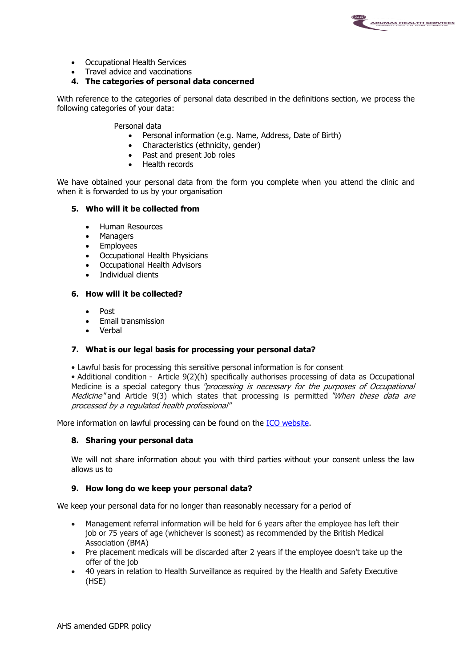

- Occupational Health Services
- Travel advice and vaccinations
- **4. The categories of personal data concerned**

With reference to the categories of personal data described in the definitions section, we process the following categories of your data:

Personal data

- Personal information (e.g. Name, Address, Date of Birth)
- Characteristics (ethnicity, gender)<br>• Past and present Joh roles
- Past and present Job roles
- Health records

We have obtained your personal data from the form you complete when you attend the clinic and when it is forwarded to us by your organisation

## **5. Who will it be collected from**

- Human Resources
- Managers
- Employees
- Occupational Health Physicians
- Occupational Health Advisors
- Individual clients

#### **6. How will it be collected?**

- Post
- **•** Email transmission
- Verbal

## **7. What is our legal basis for processing your personal data?**

• Lawful basis for processing this sensitive personal information is for consent

• Additional condition - Article 9(2)(h) specifically authorises processing of data as Occupational Medicine is a special category thus "processing is necessary for the purposes of Occupational Medicine" and Article 9(3) which states that processing is permitted "When these data are processed by a regulated health professional"

More information on lawful processing can be found on the [ICO website.](https://ico.org.uk/for-organisations/guide-to-the-general-data-protection-regulation-gdpr/lawful-basis-for-processing/)

#### **8. Sharing your personal data**

We will not share information about you with third parties without your consent unless the law allows us to

## **9. How long do we keep your personal data?**

We keep your personal data for no longer than reasonably necessary for a period of

- Management referral information will be held for 6 years after the employee has left their job or 75 years of age (whichever is soonest) as recommended by the British Medical Association (BMA)
- Pre placement medicals will be discarded after 2 years if the employee doesn't take up the offer of the job
- 40 years in relation to Health Surveillance as required by the Health and Safety Executive (HSE)